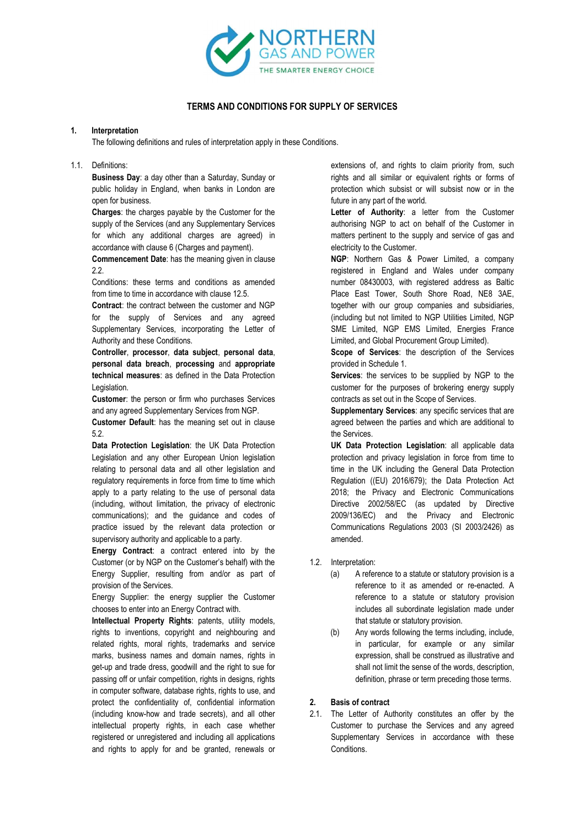

# TERMS AND CONDITIONS FOR SUPPLY OF SERVICES

## 1. Interpretation

The following definitions and rules of interpretation apply in these Conditions.

## 1.1. Definitions:

Business Day: a day other than a Saturday, Sunday or public holiday in England, when banks in London are open for business.

Charges: the charges payable by the Customer for the supply of the Services (and any Supplementary Services for which any additional charges are agreed) in accordance with clause 6 (Charges and payment).

Commencement Date: has the meaning given in clause 2.2.

Conditions: these terms and conditions as amended from time to time in accordance with clause 12.5.

Contract: the contract between the customer and NGP for the supply of Services and any agreed Supplementary Services, incorporating the Letter of Authority and these Conditions.

Controller, processor, data subject, personal data, personal data breach, processing and appropriate technical measures: as defined in the Data Protection Legislation.

Customer: the person or firm who purchases Services and any agreed Supplementary Services from NGP.

Customer Default: has the meaning set out in clause 5.2.

Data Protection Legislation: the UK Data Protection Legislation and any other European Union legislation relating to personal data and all other legislation and regulatory requirements in force from time to time which apply to a party relating to the use of personal data (including, without limitation, the privacy of electronic communications); and the guidance and codes of practice issued by the relevant data protection or supervisory authority and applicable to a party.

Energy Contract: a contract entered into by the Customer (or by NGP on the Customer's behalf) with the Energy Supplier, resulting from and/or as part of provision of the Services.

Energy Supplier: the energy supplier the Customer chooses to enter into an Energy Contract with.

Intellectual Property Rights: patents, utility models, rights to inventions, copyright and neighbouring and related rights, moral rights, trademarks and service marks, business names and domain names, rights in get-up and trade dress, goodwill and the right to sue for passing off or unfair competition, rights in designs, rights in computer software, database rights, rights to use, and protect the confidentiality of, confidential information (including know-how and trade secrets), and all other intellectual property rights, in each case whether registered or unregistered and including all applications and rights to apply for and be granted, renewals or

extensions of, and rights to claim priority from, such rights and all similar or equivalent rights or forms of protection which subsist or will subsist now or in the future in any part of the world.

Letter of Authority: a letter from the Customer authorising NGP to act on behalf of the Customer in matters pertinent to the supply and service of gas and electricity to the Customer.

NGP: Northern Gas & Power Limited, a company registered in England and Wales under company number 08430003, with registered address as Baltic Place East Tower, South Shore Road, NE8 3AE, together with our group companies and subsidiaries, (including but not limited to NGP Utilities Limited, NGP SME Limited, NGP EMS Limited, Energies France Limited, and Global Procurement Group Limited).

Scope of Services: the description of the Services provided in Schedule 1.

Services: the services to be supplied by NGP to the customer for the purposes of brokering energy supply contracts as set out in the Scope of Services.

Supplementary Services: any specific services that are agreed between the parties and which are additional to the Services.

UK Data Protection Legislation: all applicable data protection and privacy legislation in force from time to time in the UK including the General Data Protection Regulation ((EU) 2016/679); the Data Protection Act 2018; the Privacy and Electronic Communications Directive 2002/58/EC (as updated by Directive 2009/136/EC) and the Privacy and Electronic Communications Regulations 2003 (SI 2003/2426) as amended.

- 1.2. Interpretation:
	- (a) A reference to a statute or statutory provision is a reference to it as amended or re-enacted. A reference to a statute or statutory provision includes all subordinate legislation made under that statute or statutory provision.
	- (b) Any words following the terms including, include, in particular, for example or any similar expression, shall be construed as illustrative and shall not limit the sense of the words, description, definition, phrase or term preceding those terms.

# 2. Basis of contract

2.1. The Letter of Authority constitutes an offer by the Customer to purchase the Services and any agreed Supplementary Services in accordance with these Conditions.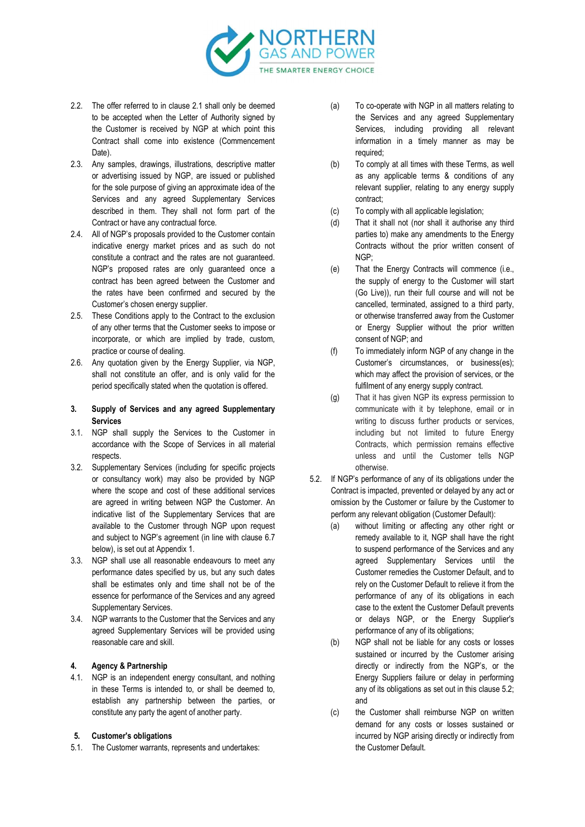

- 2.2. The offer referred to in clause 2.1 shall only be deemed to be accepted when the Letter of Authority signed by the Customer is received by NGP at which point this Contract shall come into existence (Commencement Date).
- 2.3. Any samples, drawings, illustrations, descriptive matter or advertising issued by NGP, are issued or published for the sole purpose of giving an approximate idea of the Services and any agreed Supplementary Services described in them. They shall not form part of the Contract or have any contractual force.
- 2.4. All of NGP's proposals provided to the Customer contain indicative energy market prices and as such do not constitute a contract and the rates are not guaranteed. NGP's proposed rates are only guaranteed once a contract has been agreed between the Customer and the rates have been confirmed and secured by the Customer's chosen energy supplier.
- 2.5. These Conditions apply to the Contract to the exclusion of any other terms that the Customer seeks to impose or incorporate, or which are implied by trade, custom, practice or course of dealing.
- 2.6. Any quotation given by the Energy Supplier, via NGP, shall not constitute an offer, and is only valid for the period specifically stated when the quotation is offered.
- 3. Supply of Services and any agreed Supplementary Services
- 3.1. NGP shall supply the Services to the Customer in accordance with the Scope of Services in all material respects.
- 3.2. Supplementary Services (including for specific projects or consultancy work) may also be provided by NGP where the scope and cost of these additional services are agreed in writing between NGP the Customer. An indicative list of the Supplementary Services that are available to the Customer through NGP upon request and subject to NGP's agreement (in line with clause 6.7 below), is set out at Appendix 1.
- 3.3. NGP shall use all reasonable endeavours to meet any performance dates specified by us, but any such dates shall be estimates only and time shall not be of the essence for performance of the Services and any agreed Supplementary Services.
- 3.4. NGP warrants to the Customer that the Services and any agreed Supplementary Services will be provided using reasonable care and skill.

#### 4. Agency & Partnership

- 4.1. NGP is an independent energy consultant, and nothing in these Terms is intended to, or shall be deemed to, establish any partnership between the parties, or constitute any party the agent of another party.
- 5. Customer's obligations
- 5.1. The Customer warrants, represents and undertakes:
- (a) To co-operate with NGP in all matters relating to the Services and any agreed Supplementary Services, including providing all relevant information in a timely manner as may be required;
- (b) To comply at all times with these Terms, as well as any applicable terms & conditions of any relevant supplier, relating to any energy supply contract;
- (c) To comply with all applicable legislation;
- (d) That it shall not (nor shall it authorise any third parties to) make any amendments to the Energy Contracts without the prior written consent of NGP;
- (e) That the Energy Contracts will commence (i.e., the supply of energy to the Customer will start (Go Live)), run their full course and will not be cancelled, terminated, assigned to a third party, or otherwise transferred away from the Customer or Energy Supplier without the prior written consent of NGP; and
- (f) To immediately inform NGP of any change in the Customer's circumstances, or business(es); which may affect the provision of services, or the fulfilment of any energy supply contract.
- (g) That it has given NGP its express permission to communicate with it by telephone, email or in writing to discuss further products or services, including but not limited to future Energy Contracts, which permission remains effective unless and until the Customer tells NGP otherwise.
- 5.2. If NGP's performance of any of its obligations under the Contract is impacted, prevented or delayed by any act or omission by the Customer or failure by the Customer to perform any relevant obligation (Customer Default):
	- (a) without limiting or affecting any other right or remedy available to it, NGP shall have the right to suspend performance of the Services and any agreed Supplementary Services until the Customer remedies the Customer Default, and to rely on the Customer Default to relieve it from the performance of any of its obligations in each case to the extent the Customer Default prevents or delays NGP, or the Energy Supplier's performance of any of its obligations;
	- (b) NGP shall not be liable for any costs or losses sustained or incurred by the Customer arising directly or indirectly from the NGP's, or the Energy Suppliers failure or delay in performing any of its obligations as set out in this clause 5.2; and
	- (c) the Customer shall reimburse NGP on written demand for any costs or losses sustained or incurred by NGP arising directly or indirectly from the Customer Default.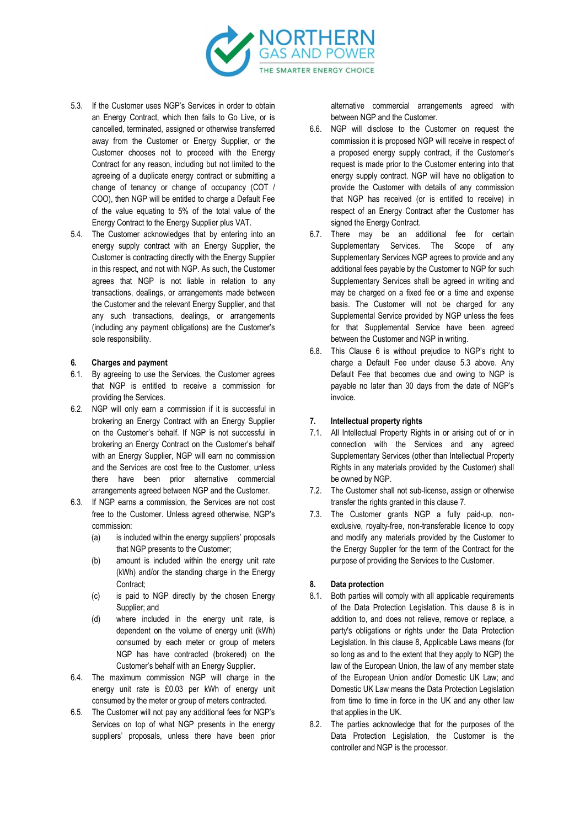

- 5.3. If the Customer uses NGP's Services in order to obtain an Energy Contract, which then fails to Go Live, or is cancelled, terminated, assigned or otherwise transferred away from the Customer or Energy Supplier, or the Customer chooses not to proceed with the Energy Contract for any reason, including but not limited to the agreeing of a duplicate energy contract or submitting a change of tenancy or change of occupancy (COT / COO), then NGP will be entitled to charge a Default Fee of the value equating to 5% of the total value of the Energy Contract to the Energy Supplier plus VAT.
- 5.4. The Customer acknowledges that by entering into an energy supply contract with an Energy Supplier, the Customer is contracting directly with the Energy Supplier in this respect, and not with NGP. As such, the Customer agrees that NGP is not liable in relation to any transactions, dealings, or arrangements made between the Customer and the relevant Energy Supplier, and that any such transactions, dealings, or arrangements (including any payment obligations) are the Customer's sole responsibility.

## 6. Charges and payment

- 6.1. By agreeing to use the Services, the Customer agrees that NGP is entitled to receive a commission for providing the Services.
- 6.2. NGP will only earn a commission if it is successful in brokering an Energy Contract with an Energy Supplier on the Customer's behalf. If NGP is not successful in brokering an Energy Contract on the Customer's behalf with an Energy Supplier, NGP will earn no commission and the Services are cost free to the Customer, unless there have been prior alternative commercial arrangements agreed between NGP and the Customer.
- 6.3. If NGP earns a commission, the Services are not cost free to the Customer. Unless agreed otherwise, NGP's commission:
	- (a) is included within the energy suppliers' proposals that NGP presents to the Customer;
	- (b) amount is included within the energy unit rate (kWh) and/or the standing charge in the Energy Contract:
	- (c) is paid to NGP directly by the chosen Energy Supplier; and
	- (d) where included in the energy unit rate, is dependent on the volume of energy unit (kWh) consumed by each meter or group of meters NGP has have contracted (brokered) on the Customer's behalf with an Energy Supplier.
- 6.4. The maximum commission NGP will charge in the energy unit rate is £0.03 per kWh of energy unit consumed by the meter or group of meters contracted.
- 6.5. The Customer will not pay any additional fees for NGP's Services on top of what NGP presents in the energy suppliers' proposals, unless there have been prior

alternative commercial arrangements agreed with between NGP and the Customer.

- 6.6. NGP will disclose to the Customer on request the commission it is proposed NGP will receive in respect of a proposed energy supply contract, if the Customer's request is made prior to the Customer entering into that energy supply contract. NGP will have no obligation to provide the Customer with details of any commission that NGP has received (or is entitled to receive) in respect of an Energy Contract after the Customer has signed the Energy Contract.
- 6.7. There may be an additional fee for certain Supplementary Services. The Scope of any Supplementary Services NGP agrees to provide and any additional fees payable by the Customer to NGP for such Supplementary Services shall be agreed in writing and may be charged on a fixed fee or a time and expense basis. The Customer will not be charged for any Supplemental Service provided by NGP unless the fees for that Supplemental Service have been agreed between the Customer and NGP in writing.
- 6.8. This Clause 6 is without prejudice to NGP's right to charge a Default Fee under clause 5.3 above. Any Default Fee that becomes due and owing to NGP is payable no later than 30 days from the date of NGP's invoice.

#### 7. Intellectual property rights

- 7.1. All Intellectual Property Rights in or arising out of or in connection with the Services and any agreed Supplementary Services (other than Intellectual Property Rights in any materials provided by the Customer) shall be owned by NGP.
- 7.2. The Customer shall not sub-license, assign or otherwise transfer the rights granted in this clause 7.
- 7.3. The Customer grants NGP a fully paid-up, nonexclusive, royalty-free, non-transferable licence to copy and modify any materials provided by the Customer to the Energy Supplier for the term of the Contract for the purpose of providing the Services to the Customer.

#### 8. Data protection

- 8.1. Both parties will comply with all applicable requirements of the Data Protection Legislation. This clause 8 is in addition to, and does not relieve, remove or replace, a party's obligations or rights under the Data Protection Legislation. In this clause 8, Applicable Laws means (for so long as and to the extent that they apply to NGP) the law of the European Union, the law of any member state of the European Union and/or Domestic UK Law; and Domestic UK Law means the Data Protection Legislation from time to time in force in the UK and any other law that applies in the UK.
- 8.2. The parties acknowledge that for the purposes of the Data Protection Legislation, the Customer is the controller and NGP is the processor.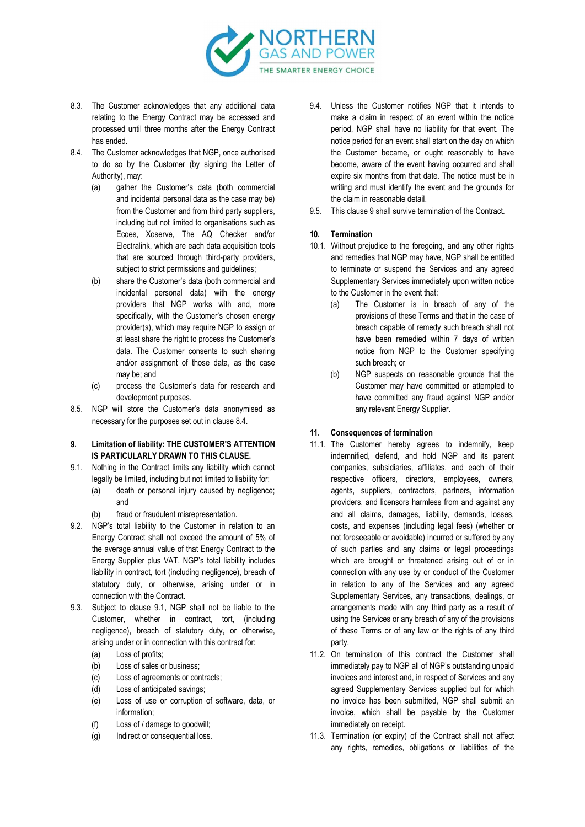

- 8.3. The Customer acknowledges that any additional data relating to the Energy Contract may be accessed and processed until three months after the Energy Contract has ended.
- 8.4. The Customer acknowledges that NGP, once authorised to do so by the Customer (by signing the Letter of Authority), may:
	- (a) gather the Customer's data (both commercial and incidental personal data as the case may be) from the Customer and from third party suppliers, including but not limited to organisations such as Ecoes, Xoserve, The AQ Checker and/or Electralink, which are each data acquisition tools that are sourced through third-party providers, subject to strict permissions and guidelines;
	- (b) share the Customer's data (both commercial and incidental personal data) with the energy providers that NGP works with and, more specifically, with the Customer's chosen energy provider(s), which may require NGP to assign or at least share the right to process the Customer's data. The Customer consents to such sharing and/or assignment of those data, as the case may be; and
	- (c) process the Customer's data for research and development purposes.
- 8.5. NGP will store the Customer's data anonymised as necessary for the purposes set out in clause 8.4.

## 9. Limitation of liability: THE CUSTOMER'S ATTENTION IS PARTICULARLY DRAWN TO THIS CLAUSE.

- 9.1. Nothing in the Contract limits any liability which cannot legally be limited, including but not limited to liability for:
	- (a) death or personal injury caused by negligence; and
	- (b) fraud or fraudulent misrepresentation.
- 9.2. NGP's total liability to the Customer in relation to an Energy Contract shall not exceed the amount of 5% of the average annual value of that Energy Contract to the Energy Supplier plus VAT. NGP's total liability includes liability in contract, tort (including negligence), breach of statutory duty, or otherwise, arising under or in connection with the Contract.
- 9.3. Subject to clause 9.1, NGP shall not be liable to the Customer, whether in contract, tort, (including negligence), breach of statutory duty, or otherwise, arising under or in connection with this contract for:
	- (a) Loss of profits;
	- (b) Loss of sales or business;
	- (c) Loss of agreements or contracts;
	- (d) Loss of anticipated savings;
	- (e) Loss of use or corruption of software, data, or information;
	- (f) Loss of / damage to goodwill;
	- (g) Indirect or consequential loss.
- 9.4. Unless the Customer notifies NGP that it intends to make a claim in respect of an event within the notice period, NGP shall have no liability for that event. The notice period for an event shall start on the day on which the Customer became, or ought reasonably to have become, aware of the event having occurred and shall expire six months from that date. The notice must be in writing and must identify the event and the grounds for the claim in reasonable detail.
- 9.5. This clause 9 shall survive termination of the Contract.

## 10. Termination

- 10.1. Without prejudice to the foregoing, and any other rights and remedies that NGP may have, NGP shall be entitled to terminate or suspend the Services and any agreed Supplementary Services immediately upon written notice to the Customer in the event that:
	- (a) The Customer is in breach of any of the provisions of these Terms and that in the case of breach capable of remedy such breach shall not have been remedied within 7 days of written notice from NGP to the Customer specifying such breach; or
	- (b) NGP suspects on reasonable grounds that the Customer may have committed or attempted to have committed any fraud against NGP and/or any relevant Energy Supplier.

#### 11. Consequences of termination

- 11.1. The Customer hereby agrees to indemnify, keep indemnified, defend, and hold NGP and its parent companies, subsidiaries, affiliates, and each of their respective officers, directors, employees, owners, agents, suppliers, contractors, partners, information providers, and licensors harmless from and against any and all claims, damages, liability, demands, losses, costs, and expenses (including legal fees) (whether or not foreseeable or avoidable) incurred or suffered by any of such parties and any claims or legal proceedings which are brought or threatened arising out of or in connection with any use by or conduct of the Customer in relation to any of the Services and any agreed Supplementary Services, any transactions, dealings, or arrangements made with any third party as a result of using the Services or any breach of any of the provisions of these Terms or of any law or the rights of any third party.
- 11.2. On termination of this contract the Customer shall immediately pay to NGP all of NGP's outstanding unpaid invoices and interest and, in respect of Services and any agreed Supplementary Services supplied but for which no invoice has been submitted, NGP shall submit an invoice, which shall be payable by the Customer immediately on receipt.
- 11.3. Termination (or expiry) of the Contract shall not affect any rights, remedies, obligations or liabilities of the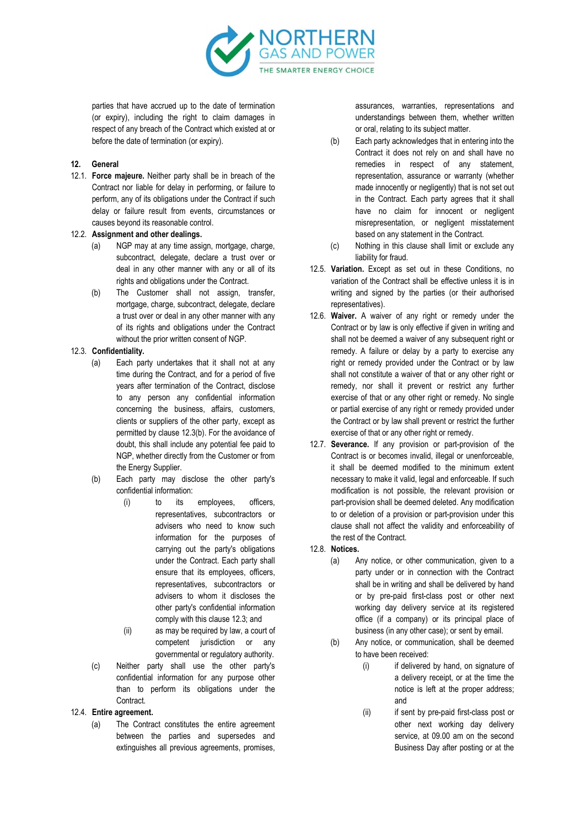

parties that have accrued up to the date of termination (or expiry), including the right to claim damages in respect of any breach of the Contract which existed at or before the date of termination (or expiry).

## 12. General

12.1. Force majeure. Neither party shall be in breach of the Contract nor liable for delay in performing, or failure to perform, any of its obligations under the Contract if such delay or failure result from events, circumstances or causes beyond its reasonable control.

#### 12.2. Assignment and other dealings.

- (a) NGP may at any time assign, mortgage, charge, subcontract, delegate, declare a trust over or deal in any other manner with any or all of its rights and obligations under the Contract.
- (b) The Customer shall not assign, transfer, mortgage, charge, subcontract, delegate, declare a trust over or deal in any other manner with any of its rights and obligations under the Contract without the prior written consent of NGP.

# 12.3. Confidentiality.

- (a) Each party undertakes that it shall not at any time during the Contract, and for a period of five years after termination of the Contract, disclose to any person any confidential information concerning the business, affairs, customers, clients or suppliers of the other party, except as permitted by clause 12.3(b). For the avoidance of doubt, this shall include any potential fee paid to NGP, whether directly from the Customer or from the Energy Supplier.
- (b) Each party may disclose the other party's confidential information:
	- (i) to its employees, officers, representatives, subcontractors or advisers who need to know such information for the purposes of carrying out the party's obligations under the Contract. Each party shall ensure that its employees, officers, representatives, subcontractors or advisers to whom it discloses the other party's confidential information comply with this clause 12.3; and
	- (ii) as may be required by law, a court of competent jurisdiction or any governmental or regulatory authority.
- (c) Neither party shall use the other party's confidential information for any purpose other than to perform its obligations under the Contract.

#### 12.4. Entire agreement.

(a) The Contract constitutes the entire agreement between the parties and supersedes and extinguishes all previous agreements, promises,

assurances, warranties, representations and understandings between them, whether written or oral, relating to its subject matter.

- (b) Each party acknowledges that in entering into the Contract it does not rely on and shall have no remedies in respect of any statement, representation, assurance or warranty (whether made innocently or negligently) that is not set out in the Contract. Each party agrees that it shall have no claim for innocent or negligent misrepresentation, or negligent misstatement based on any statement in the Contract.
- (c) Nothing in this clause shall limit or exclude any liability for fraud.
- 12.5. Variation. Except as set out in these Conditions, no variation of the Contract shall be effective unless it is in writing and signed by the parties (or their authorised representatives).
- 12.6. Waiver. A waiver of any right or remedy under the Contract or by law is only effective if given in writing and shall not be deemed a waiver of any subsequent right or remedy. A failure or delay by a party to exercise any right or remedy provided under the Contract or by law shall not constitute a waiver of that or any other right or remedy, nor shall it prevent or restrict any further exercise of that or any other right or remedy. No single or partial exercise of any right or remedy provided under the Contract or by law shall prevent or restrict the further exercise of that or any other right or remedy.
- 12.7. Severance. If any provision or part-provision of the Contract is or becomes invalid, illegal or unenforceable, it shall be deemed modified to the minimum extent necessary to make it valid, legal and enforceable. If such modification is not possible, the relevant provision or part-provision shall be deemed deleted. Any modification to or deletion of a provision or part-provision under this clause shall not affect the validity and enforceability of the rest of the Contract.

#### 12.8. Notices.

- (a) Any notice, or other communication, given to a party under or in connection with the Contract shall be in writing and shall be delivered by hand or by pre-paid first-class post or other next working day delivery service at its registered office (if a company) or its principal place of business (in any other case); or sent by email.
- (b) Any notice, or communication, shall be deemed to have been received:
	- (i) if delivered by hand, on signature of a delivery receipt, or at the time the notice is left at the proper address; and
	- (ii) if sent by pre-paid first-class post or other next working day delivery service, at 09.00 am on the second Business Day after posting or at the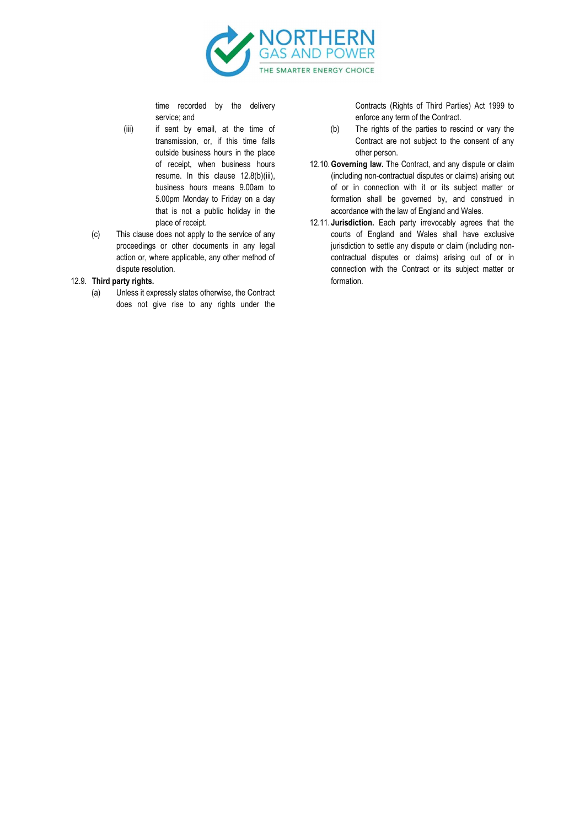

time recorded by the delivery service; and

- (iii) if sent by email, at the time of transmission, or, if this time falls outside business hours in the place of receipt, when business hours resume. In this clause 12.8(b)(iii), business hours means 9.00am to 5.00pm Monday to Friday on a day that is not a public holiday in the place of receipt.
- (c) This clause does not apply to the service of any proceedings or other documents in any legal action or, where applicable, any other method of dispute resolution.

## 12.9. Third party rights.

(a) Unless it expressly states otherwise, the Contract does not give rise to any rights under the

Contracts (Rights of Third Parties) Act 1999 to enforce any term of the Contract.

- (b) The rights of the parties to rescind or vary the Contract are not subject to the consent of any other person.
- 12.10.Governing law. The Contract, and any dispute or claim (including non-contractual disputes or claims) arising out of or in connection with it or its subject matter or formation shall be governed by, and construed in accordance with the law of England and Wales.
- 12.11. Jurisdiction. Each party irrevocably agrees that the courts of England and Wales shall have exclusive jurisdiction to settle any dispute or claim (including noncontractual disputes or claims) arising out of or in connection with the Contract or its subject matter or formation.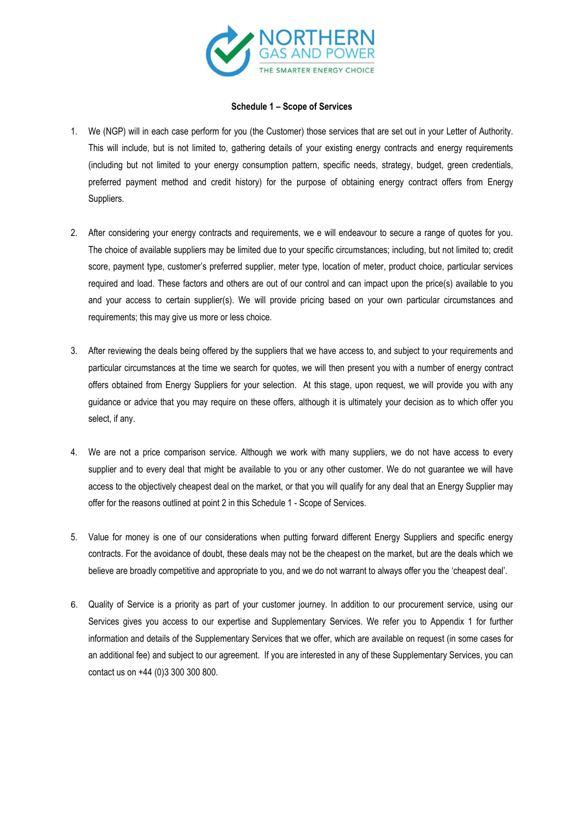

# Schedule 1 – Scope of Services

- 1. We (NGP) will in each case perform for you (the Customer) those services that are set out in your Letter of Authority. This will include, but is not limited to, gathering details of your existing energy contracts and energy requirements (including but not limited to your energy consumption pattern, specific needs, strategy, budget, green credentials, preferred payment method and credit history) for the purpose of obtaining energy contract offers from Energy Suppliers.
- 2. After considering your energy contracts and requirements, we e will endeavour to secure a range of quotes for you. The choice of available suppliers may be limited due to your specific circumstances; including, but not limited to; credit score, payment type, customer's preferred supplier, meter type, location of meter, product choice, particular services required and load. These factors and others are out of our control and can impact upon the price(s) available to you and your access to certain supplier(s). We will provide pricing based on your own particular circumstances and requirements; this may give us more or less choice.
- 3. After reviewing the deals being offered by the suppliers that we have access to, and subject to your requirements and particular circumstances at the time we search for quotes, we will then present you with a number of energy contract offers obtained from Energy Suppliers for your selection. At this stage, upon request, we will provide you with any guidance or advice that you may require on these offers, although it is ultimately your decision as to which offer you select, if any.
- 4. We are not a price comparison service. Although we work with many suppliers, we do not have access to every supplier and to every deal that might be available to you or any other customer. We do not guarantee we will have access to the objectively cheapest deal on the market, or that you will qualify for any deal that an Energy Supplier may offer for the reasons outlined at point 2 in this Schedule 1 - Scope of Services.
- 5. Value for money is one of our considerations when putting forward different Energy Suppliers and specific energy contracts. For the avoidance of doubt, these deals may not be the cheapest on the market, but are the deals which we believe are broadly competitive and appropriate to you, and we do not warrant to always offer you the 'cheapest deal'.
- 6. Quality of Service is a priority as part of your customer journey. In addition to our procurement service, using our Services gives you access to our expertise and Supplementary Services. We refer you to Appendix 1 for further information and details of the Supplementary Services that we offer, which are available on request (in some cases for an additional fee) and subject to our agreement. If you are interested in any of these Supplementary Services, you can contact us on +44 (0)3 300 300 800.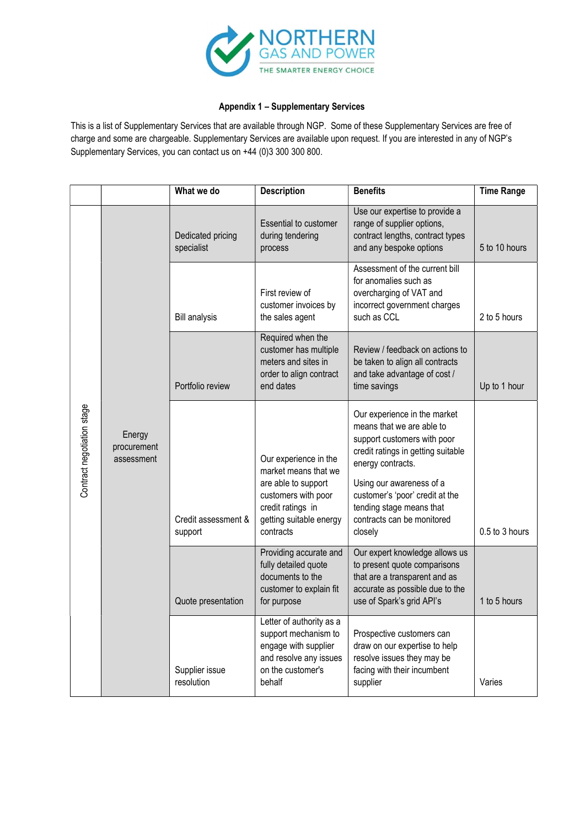

# Appendix 1 – Supplementary Services

This is a list of Supplementary Services that are available through NGP. Some of these Supplementary Services are free of charge and some are chargeable. Supplementary Services are available upon request. If you are interested in any of NGP's Supplementary Services, you can contact us on +44 (0)3 300 300 800.

|                            |        | What we do                      | <b>Description</b>                                                                                                                | <b>Benefits</b>                                                                                                                                                 | <b>Time Range</b>                                                                                                                                                                                                                                                                       |                |
|----------------------------|--------|---------------------------------|-----------------------------------------------------------------------------------------------------------------------------------|-----------------------------------------------------------------------------------------------------------------------------------------------------------------|-----------------------------------------------------------------------------------------------------------------------------------------------------------------------------------------------------------------------------------------------------------------------------------------|----------------|
| Contract negotiation stage |        | Dedicated pricing<br>specialist | <b>Essential to customer</b><br>during tendering<br>process                                                                       | Use our expertise to provide a<br>range of supplier options,<br>contract lengths, contract types<br>and any bespoke options                                     | 5 to 10 hours                                                                                                                                                                                                                                                                           |                |
|                            |        |                                 | <b>Bill analysis</b>                                                                                                              | First review of<br>customer invoices by<br>the sales agent                                                                                                      | Assessment of the current bill<br>for anomalies such as<br>overcharging of VAT and<br>incorrect government charges<br>such as CCL                                                                                                                                                       | 2 to 5 hours   |
|                            |        | Portfolio review                | Required when the<br>customer has multiple<br>meters and sites in<br>order to align contract<br>end dates                         | Review / feedback on actions to<br>be taken to align all contracts<br>and take advantage of cost /<br>time savings                                              | Up to 1 hour                                                                                                                                                                                                                                                                            |                |
|                            | Energy | procurement<br>assessment       | Credit assessment &<br>support                                                                                                    | Our experience in the<br>market means that we<br>are able to support<br>customers with poor<br>credit ratings in<br>getting suitable energy<br>contracts        | Our experience in the market<br>means that we are able to<br>support customers with poor<br>credit ratings in getting suitable<br>energy contracts.<br>Using our awareness of a<br>customer's 'poor' credit at the<br>tending stage means that<br>contracts can be monitored<br>closely | 0.5 to 3 hours |
|                            |        | Quote presentation              | Providing accurate and<br>fully detailed quote<br>documents to the<br>customer to explain fit<br>for purpose                      | Our expert knowledge allows us<br>to present quote comparisons<br>that are a transparent and as<br>accurate as possible due to the<br>use of Spark's grid API's | 1 to 5 hours                                                                                                                                                                                                                                                                            |                |
|                            |        | Supplier issue<br>resolution    | Letter of authority as a<br>support mechanism to<br>engage with supplier<br>and resolve any issues<br>on the customer's<br>behalf | Prospective customers can<br>draw on our expertise to help<br>resolve issues they may be<br>facing with their incumbent<br>supplier                             | Varies                                                                                                                                                                                                                                                                                  |                |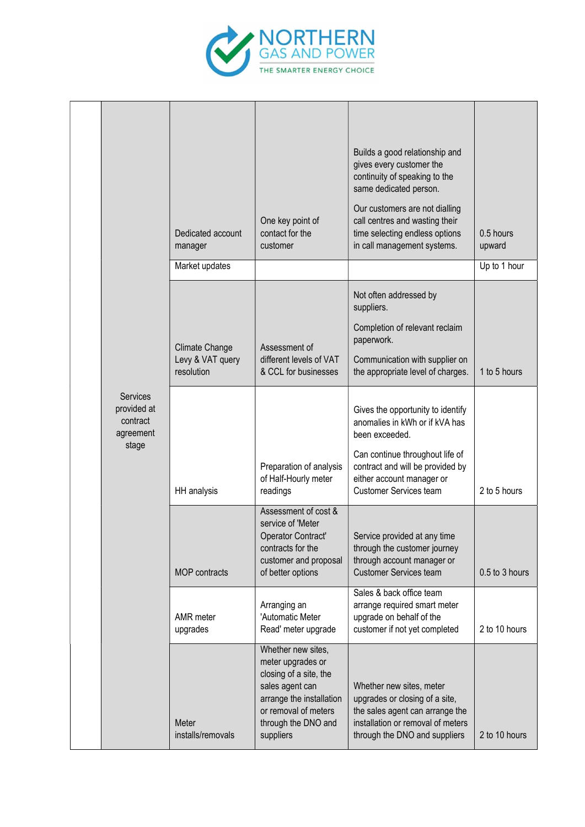

|  |                                                  |                                                                                 |                                                                                                                                                                                                  | Builds a good relationship and                                                                                                                                      |                |
|--|--------------------------------------------------|---------------------------------------------------------------------------------|--------------------------------------------------------------------------------------------------------------------------------------------------------------------------------------------------|---------------------------------------------------------------------------------------------------------------------------------------------------------------------|----------------|
|  |                                                  |                                                                                 |                                                                                                                                                                                                  | gives every customer the<br>continuity of speaking to the<br>same dedicated person.                                                                                 |                |
|  |                                                  | One key point of<br>contact for the<br>Dedicated account<br>customer<br>manager | Our customers are not dialling<br>call centres and wasting their<br>time selecting endless options<br>in call management systems.                                                                | 0.5 hours<br>upward                                                                                                                                                 |                |
|  |                                                  | Market updates                                                                  |                                                                                                                                                                                                  |                                                                                                                                                                     | Up to 1 hour   |
|  |                                                  |                                                                                 |                                                                                                                                                                                                  | Not often addressed by<br>suppliers.                                                                                                                                |                |
|  |                                                  | Climate Change                                                                  | Assessment of                                                                                                                                                                                    | Completion of relevant reclaim<br>paperwork.                                                                                                                        |                |
|  |                                                  | Levy & VAT query<br>resolution                                                  | different levels of VAT<br>& CCL for businesses                                                                                                                                                  | Communication with supplier on<br>the appropriate level of charges.                                                                                                 | 1 to 5 hours   |
|  | Services<br>provided at<br>contract<br>agreement |                                                                                 |                                                                                                                                                                                                  | Gives the opportunity to identify<br>anomalies in kWh or if kVA has<br>been exceeded.                                                                               |                |
|  | stage                                            | HH analysis                                                                     | Can continue throughout life of<br>Preparation of analysis<br>contract and will be provided by<br>of Half-Hourly meter<br>either account manager or<br><b>Customer Services team</b><br>readings | 2 to 5 hours                                                                                                                                                        |                |
|  |                                                  | MOP contracts                                                                   | Assessment of cost &<br>service of 'Meter<br>Operator Contract'<br>contracts for the<br>customer and proposal<br>of better options                                                               | Service provided at any time<br>through the customer journey<br>through account manager or<br><b>Customer Services team</b>                                         | 0.5 to 3 hours |
|  |                                                  | AMR meter<br>upgrades                                                           | Arranging an<br>'Automatic Meter<br>Read' meter upgrade                                                                                                                                          | Sales & back office team<br>arrange required smart meter<br>upgrade on behalf of the<br>customer if not yet completed                                               | 2 to 10 hours  |
|  |                                                  | Meter<br>installs/removals                                                      | Whether new sites,<br>meter upgrades or<br>closing of a site, the<br>sales agent can<br>arrange the installation<br>or removal of meters<br>through the DNO and<br>suppliers                     | Whether new sites, meter<br>upgrades or closing of a site,<br>the sales agent can arrange the<br>installation or removal of meters<br>through the DNO and suppliers | 2 to 10 hours  |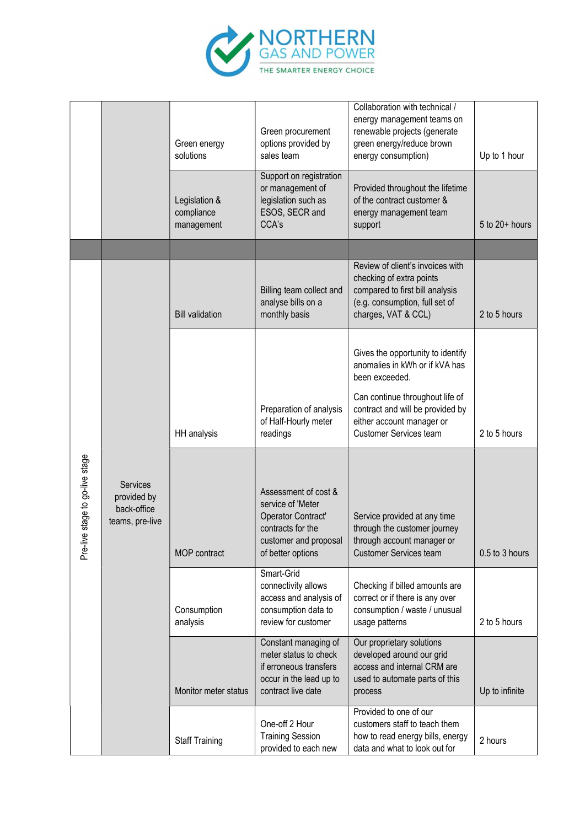

|                                        |                                                                  | Green energy<br>solutions                 | Green procurement<br>options provided by<br>sales team                                                                             | Collaboration with technical /<br>energy management teams on<br>renewable projects (generate<br>green energy/reduce brown<br>energy consumption)         | Up to 1 hour       |
|----------------------------------------|------------------------------------------------------------------|-------------------------------------------|------------------------------------------------------------------------------------------------------------------------------------|----------------------------------------------------------------------------------------------------------------------------------------------------------|--------------------|
|                                        |                                                                  | Legislation &<br>compliance<br>management | Support on registration<br>or management of<br>legislation such as<br>ESOS, SECR and<br>CCA's                                      | Provided throughout the lifetime<br>of the contract customer &<br>energy management team<br>support                                                      | $5$ to $20+$ hours |
|                                        |                                                                  |                                           |                                                                                                                                    |                                                                                                                                                          |                    |
|                                        |                                                                  | <b>Bill validation</b>                    | Billing team collect and<br>analyse bills on a<br>monthly basis                                                                    | Review of client's invoices with<br>checking of extra points<br>compared to first bill analysis<br>(e.g. consumption, full set of<br>charges, VAT & CCL) | 2 to 5 hours       |
|                                        |                                                                  |                                           |                                                                                                                                    | Gives the opportunity to identify<br>anomalies in kWh or if kVA has<br>been exceeded.                                                                    |                    |
|                                        |                                                                  | HH analysis                               | Preparation of analysis<br>of Half-Hourly meter<br>readings                                                                        | Can continue throughout life of<br>contract and will be provided by<br>either account manager or<br>Customer Services team                               | 2 to 5 hours       |
| stage to go-live stage<br>Φ<br>Pre-liv | <b>Services</b><br>provided by<br>back-office<br>teams, pre-live | MOP contract                              | Assessment of cost &<br>service of 'Meter<br>Operator Contract'<br>contracts for the<br>customer and proposal<br>of better options | Service provided at any time<br>through the customer journey<br>through account manager or<br><b>Customer Services team</b>                              | 0.5 to 3 hours     |
|                                        |                                                                  | Consumption<br>analysis                   | Smart-Grid<br>connectivity allows<br>access and analysis of<br>consumption data to<br>review for customer                          | Checking if billed amounts are<br>correct or if there is any over<br>consumption / waste / unusual<br>usage patterns                                     | 2 to 5 hours       |
|                                        |                                                                  | Monitor meter status                      | Constant managing of<br>meter status to check<br>if erroneous transfers<br>occur in the lead up to<br>contract live date           | Our proprietary solutions<br>developed around our grid<br>access and internal CRM are<br>used to automate parts of this<br>process                       | Up to infinite     |
|                                        |                                                                  | Staff Training                            | One-off 2 Hour<br><b>Training Session</b><br>provided to each new                                                                  | Provided to one of our<br>customers staff to teach them<br>how to read energy bills, energy<br>data and what to look out for                             | 2 hours            |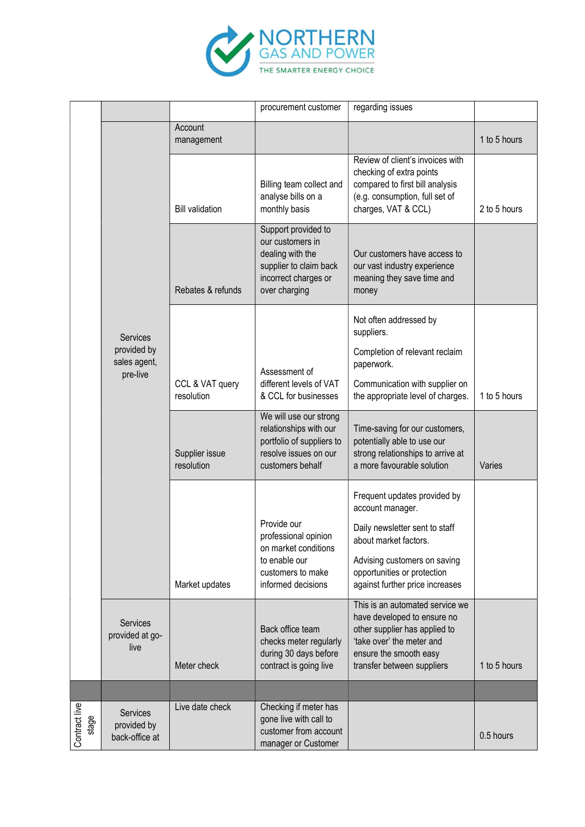

|                        |                                                  |                               | procurement customer                                                                                                           | regarding issues                                                                                                                                                                                              |              |
|------------------------|--------------------------------------------------|-------------------------------|--------------------------------------------------------------------------------------------------------------------------------|---------------------------------------------------------------------------------------------------------------------------------------------------------------------------------------------------------------|--------------|
|                        |                                                  | Account<br>management         |                                                                                                                                |                                                                                                                                                                                                               | 1 to 5 hours |
|                        |                                                  | <b>Bill validation</b>        | Billing team collect and<br>analyse bills on a<br>monthly basis                                                                | Review of client's invoices with<br>checking of extra points<br>compared to first bill analysis<br>(e.g. consumption, full set of<br>charges, VAT & CCL)                                                      | 2 to 5 hours |
|                        |                                                  | Rebates & refunds             | Support provided to<br>our customers in<br>dealing with the<br>supplier to claim back<br>incorrect charges or<br>over charging | Our customers have access to<br>our vast industry experience<br>meaning they save time and<br>money                                                                                                           |              |
|                        | Services                                         |                               |                                                                                                                                | Not often addressed by<br>suppliers.                                                                                                                                                                          |              |
|                        | provided by<br>sales agent,<br>pre-live          |                               | Assessment of                                                                                                                  | Completion of relevant reclaim<br>paperwork.                                                                                                                                                                  |              |
|                        |                                                  | CCL & VAT query<br>resolution | different levels of VAT<br>& CCL for businesses                                                                                | Communication with supplier on<br>the appropriate level of charges.                                                                                                                                           | 1 to 5 hours |
|                        |                                                  | Supplier issue<br>resolution  | We will use our strong<br>relationships with our<br>portfolio of suppliers to<br>resolve issues on our<br>customers behalf     | Time-saving for our customers,<br>potentially able to use our<br>strong relationships to arrive at<br>a more favourable solution                                                                              | Varies       |
|                        |                                                  | Market updates                | Provide our<br>professional opinion<br>on market conditions<br>to enable our<br>customers to make<br>informed decisions        | Frequent updates provided by<br>account manager.<br>Daily newsletter sent to staff<br>about market factors.<br>Advising customers on saving<br>opportunities or protection<br>against further price increases |              |
|                        | Services<br>provided at go-<br>live              | Meter check                   | Back office team<br>checks meter regularly<br>during 30 days before<br>contract is going live                                  | This is an automated service we<br>have developed to ensure no<br>other supplier has applied to<br>'take over' the meter and<br>ensure the smooth easy<br>transfer between suppliers                          | 1 to 5 hours |
|                        |                                                  |                               |                                                                                                                                |                                                                                                                                                                                                               |              |
| Contract live<br>stage | <b>Services</b><br>provided by<br>back-office at | Live date check               | Checking if meter has<br>gone live with call to<br>customer from account<br>manager or Customer                                |                                                                                                                                                                                                               | 0.5 hours    |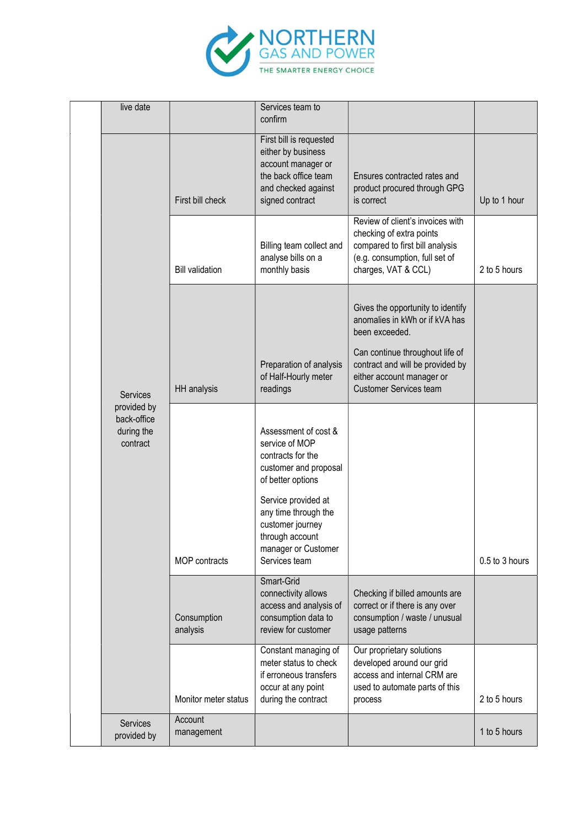

|  | live date                                            |                         | Services team to<br>confirm                                                                                                           |                                                                                                                                                          |                |
|--|------------------------------------------------------|-------------------------|---------------------------------------------------------------------------------------------------------------------------------------|----------------------------------------------------------------------------------------------------------------------------------------------------------|----------------|
|  |                                                      | First bill check        | First bill is requested<br>either by business<br>account manager or<br>the back office team<br>and checked against<br>signed contract | Ensures contracted rates and<br>product procured through GPG<br>is correct                                                                               | Up to 1 hour   |
|  |                                                      | <b>Bill validation</b>  | Billing team collect and<br>analyse bills on a<br>monthly basis                                                                       | Review of client's invoices with<br>checking of extra points<br>compared to first bill analysis<br>(e.g. consumption, full set of<br>charges, VAT & CCL) | 2 to 5 hours   |
|  |                                                      |                         |                                                                                                                                       | Gives the opportunity to identify<br>anomalies in kWh or if kVA has<br>been exceeded.                                                                    |                |
|  | Services                                             | HH analysis             | Preparation of analysis<br>of Half-Hourly meter<br>readings                                                                           | Can continue throughout life of<br>contract and will be provided by<br>either account manager or<br><b>Customer Services team</b>                        |                |
|  | provided by<br>back-office<br>during the<br>contract |                         | Assessment of cost &<br>service of MOP<br>contracts for the<br>customer and proposal<br>of better options                             |                                                                                                                                                          |                |
|  |                                                      | MOP contracts           | Service provided at<br>any time through the<br>customer journey<br>through account<br>manager or Customer<br>Services team            |                                                                                                                                                          | 0.5 to 3 hours |
|  |                                                      | Consumption<br>analysis | Smart-Grid<br>connectivity allows<br>access and analysis of<br>consumption data to<br>review for customer                             | Checking if billed amounts are<br>correct or if there is any over<br>consumption / waste / unusual<br>usage patterns                                     |                |
|  |                                                      | Monitor meter status    | Constant managing of<br>meter status to check<br>if erroneous transfers<br>occur at any point<br>during the contract                  | Our proprietary solutions<br>developed around our grid<br>access and internal CRM are<br>used to automate parts of this<br>process                       | 2 to 5 hours   |
|  | Services<br>provided by                              | Account<br>management   |                                                                                                                                       |                                                                                                                                                          | 1 to 5 hours   |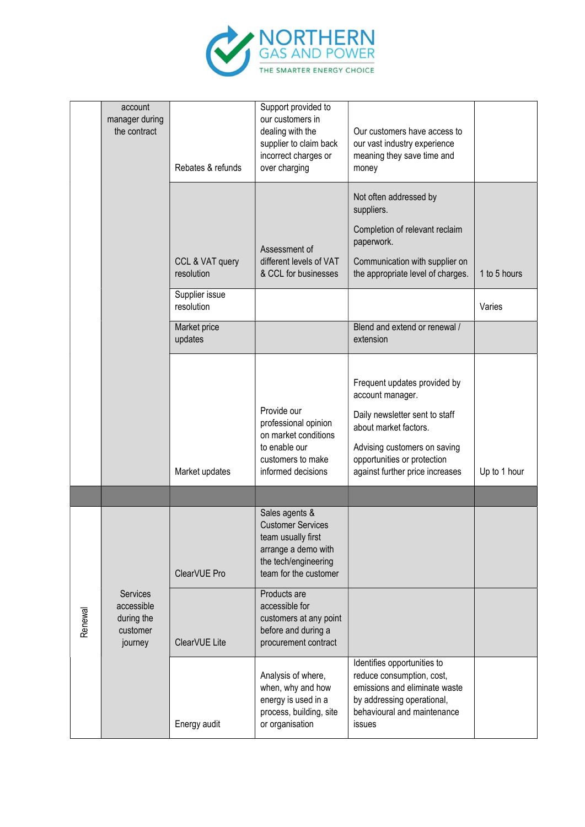

|         | account<br>manager during<br>the contract                          | Rebates & refunds             | Support provided to<br>our customers in<br>dealing with the<br>supplier to claim back<br>incorrect charges or<br>over charging           | Our customers have access to<br>our vast industry experience<br>meaning they save time and<br>money                                                                                                           |              |
|---------|--------------------------------------------------------------------|-------------------------------|------------------------------------------------------------------------------------------------------------------------------------------|---------------------------------------------------------------------------------------------------------------------------------------------------------------------------------------------------------------|--------------|
|         |                                                                    | CCL & VAT query<br>resolution | Assessment of<br>different levels of VAT<br>& CCL for businesses                                                                         | Not often addressed by<br>suppliers.<br>Completion of relevant reclaim<br>paperwork.<br>Communication with supplier on<br>the appropriate level of charges.                                                   | 1 to 5 hours |
|         |                                                                    | Supplier issue<br>resolution  |                                                                                                                                          |                                                                                                                                                                                                               | Varies       |
|         |                                                                    | Market price<br>updates       |                                                                                                                                          | Blend and extend or renewal /<br>extension                                                                                                                                                                    |              |
|         |                                                                    | Market updates                | Provide our<br>professional opinion<br>on market conditions<br>to enable our<br>customers to make<br>informed decisions                  | Frequent updates provided by<br>account manager.<br>Daily newsletter sent to staff<br>about market factors.<br>Advising customers on saving<br>opportunities or protection<br>against further price increases | Up to 1 hour |
|         |                                                                    |                               |                                                                                                                                          |                                                                                                                                                                                                               |              |
|         |                                                                    | ClearVUE Pro                  | Sales agents &<br><b>Customer Services</b><br>team usually first<br>arrange a demo with<br>the tech/engineering<br>team for the customer |                                                                                                                                                                                                               |              |
| Renewal | <b>Services</b><br>accessible<br>during the<br>customer<br>journey | ClearVUE Lite                 | Products are<br>accessible for<br>customers at any point<br>before and during a<br>procurement contract                                  |                                                                                                                                                                                                               |              |
|         |                                                                    | Energy audit                  | Analysis of where,<br>when, why and how<br>energy is used in a<br>process, building, site<br>or organisation                             | Identifies opportunities to<br>reduce consumption, cost,<br>emissions and eliminate waste<br>by addressing operational,<br>behavioural and maintenance<br>issues                                              |              |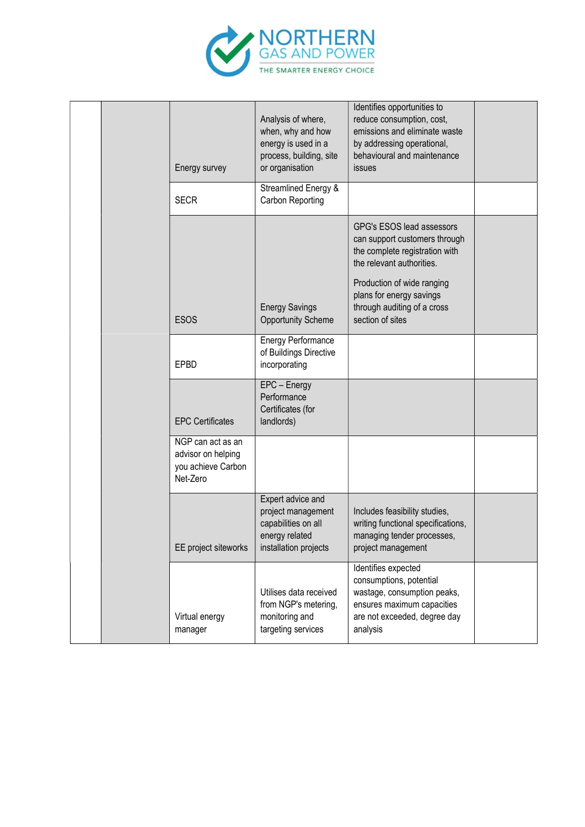

|  | Energy survey                                                             | Analysis of where,<br>when, why and how<br>energy is used in a<br>process, building, site<br>or organisation | Identifies opportunities to<br>reduce consumption, cost,<br>emissions and eliminate waste<br>by addressing operational,<br>behavioural and maintenance<br>issues                                                                       |  |
|--|---------------------------------------------------------------------------|--------------------------------------------------------------------------------------------------------------|----------------------------------------------------------------------------------------------------------------------------------------------------------------------------------------------------------------------------------------|--|
|  | <b>SECR</b>                                                               | Streamlined Energy &<br>Carbon Reporting                                                                     |                                                                                                                                                                                                                                        |  |
|  | <b>ESOS</b>                                                               | <b>Energy Savings</b><br><b>Opportunity Scheme</b>                                                           | GPG's ESOS lead assessors<br>can support customers through<br>the complete registration with<br>the relevant authorities.<br>Production of wide ranging<br>plans for energy savings<br>through auditing of a cross<br>section of sites |  |
|  | EPBD                                                                      | <b>Energy Performance</b><br>of Buildings Directive<br>incorporating                                         |                                                                                                                                                                                                                                        |  |
|  | <b>EPC Certificates</b>                                                   | EPC - Energy<br>Performance<br>Certificates (for<br>landlords)                                               |                                                                                                                                                                                                                                        |  |
|  | NGP can act as an<br>advisor on helping<br>you achieve Carbon<br>Net-Zero |                                                                                                              |                                                                                                                                                                                                                                        |  |
|  | EE project siteworks                                                      | Expert advice and<br>project management<br>capabilities on all<br>energy related<br>installation projects    | Includes feasibility studies,<br>writing functional specifications,<br>managing tender processes,<br>project management                                                                                                                |  |
|  | Virtual energy<br>manager                                                 | Utilises data received<br>from NGP's metering,<br>monitoring and<br>targeting services                       | Identifies expected<br>consumptions, potential<br>wastage, consumption peaks,<br>ensures maximum capacities<br>are not exceeded, degree day<br>analysis                                                                                |  |